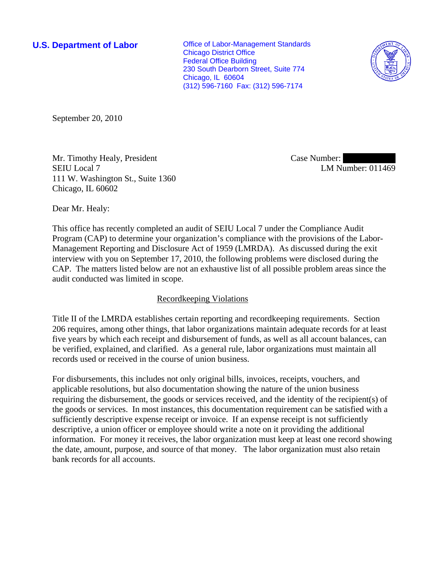**U.S. Department of Labor Conservative Conservative Conservative Conservative Conservative Conservative Conservative Conservative Conservative Conservative Conservative Conservative Conservative Conservative Conservative** Chicago District Office Federal Office Building 230 South Dearborn Street, Suite 774 Chicago, IL 60604 (312) 596-7160 Fax: (312) 596-7174



September 20, 2010

Mr. Timothy Healy, President SEIU Local 7 111 W. Washington St., Suite 1360 Chicago, IL 60602

Case Number: LM Number: 011469

Dear Mr. Healy:

This office has recently completed an audit of SEIU Local 7 under the Compliance Audit Program (CAP) to determine your organization's compliance with the provisions of the Labor-Management Reporting and Disclosure Act of 1959 (LMRDA). As discussed during the exit interview with you on September 17, 2010, the following problems were disclosed during the CAP. The matters listed below are not an exhaustive list of all possible problem areas since the audit conducted was limited in scope.

## Recordkeeping Violations

Title II of the LMRDA establishes certain reporting and recordkeeping requirements. Section 206 requires, among other things, that labor organizations maintain adequate records for at least five years by which each receipt and disbursement of funds, as well as all account balances, can be verified, explained, and clarified. As a general rule, labor organizations must maintain all records used or received in the course of union business.

For disbursements, this includes not only original bills, invoices, receipts, vouchers, and applicable resolutions, but also documentation showing the nature of the union business requiring the disbursement, the goods or services received, and the identity of the recipient(s) of the goods or services. In most instances, this documentation requirement can be satisfied with a sufficiently descriptive expense receipt or invoice. If an expense receipt is not sufficiently descriptive, a union officer or employee should write a note on it providing the additional information. For money it receives, the labor organization must keep at least one record showing the date, amount, purpose, and source of that money. The labor organization must also retain bank records for all accounts.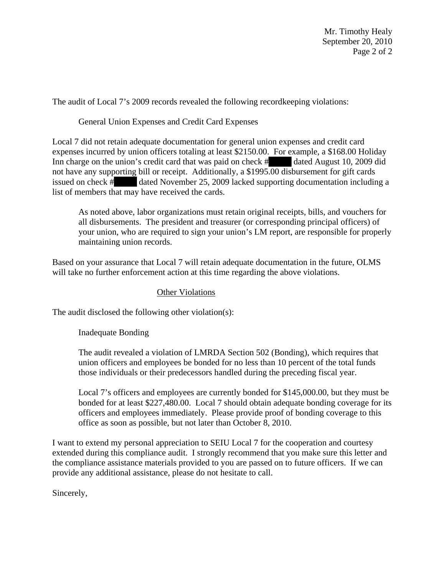Mr. Timothy Healy September 20, 2010 Page 2 of 2

The audit of Local 7's 2009 records revealed the following recordkeeping violations:

## General Union Expenses and Credit Card Expenses

Local 7 did not retain adequate documentation for general union expenses and credit card expenses incurred by union officers totaling at least \$2150.00. For example, a \$168.00 Holiday Inn charge on the union's credit card that was paid on check  $\#$  dated August 10, 2009 did not have any supporting bill or receipt. Additionally, a \$1995.00 disbursement for gift cards issued on check #||||||||||||| dated November 25, 2009 lacked supporting documentation including a list of members that may have received the cards.

As noted above, labor organizations must retain original receipts, bills, and vouchers for all disbursements. The president and treasurer (or corresponding principal officers) of your union, who are required to sign your union's LM report, are responsible for properly maintaining union records.

Based on your assurance that Local 7 will retain adequate documentation in the future, OLMS will take no further enforcement action at this time regarding the above violations.

## Other Violations

The audit disclosed the following other violation(s):

Inadequate Bonding

The audit revealed a violation of LMRDA Section 502 (Bonding), which requires that union officers and employees be bonded for no less than 10 percent of the total funds those individuals or their predecessors handled during the preceding fiscal year.

Local 7's officers and employees are currently bonded for \$145,000.00, but they must be bonded for at least \$227,480.00. Local 7 should obtain adequate bonding coverage for its officers and employees immediately. Please provide proof of bonding coverage to this office as soon as possible, but not later than October 8, 2010.

I want to extend my personal appreciation to SEIU Local 7 for the cooperation and courtesy extended during this compliance audit. I strongly recommend that you make sure this letter and the compliance assistance materials provided to you are passed on to future officers. If we can provide any additional assistance, please do not hesitate to call.

Sincerely,